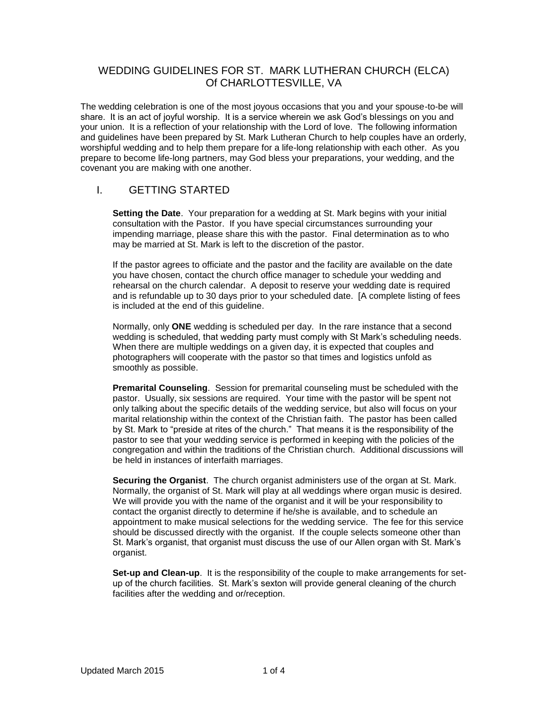## WEDDING GUIDELINES FOR ST. MARK LUTHERAN CHURCH (ELCA) Of CHARLOTTESVILLE, VA

The wedding celebration is one of the most joyous occasions that you and your spouse-to-be will share. It is an act of joyful worship. It is a service wherein we ask God's blessings on you and your union. It is a reflection of your relationship with the Lord of love. The following information and guidelines have been prepared by St. Mark Lutheran Church to help couples have an orderly, worshipful wedding and to help them prepare for a life-long relationship with each other. As you prepare to become life-long partners, may God bless your preparations, your wedding, and the covenant you are making with one another.

## I. GETTING STARTED

**Setting the Date**. Your preparation for a wedding at St. Mark begins with your initial consultation with the Pastor. If you have special circumstances surrounding your impending marriage, please share this with the pastor. Final determination as to who may be married at St. Mark is left to the discretion of the pastor.

If the pastor agrees to officiate and the pastor and the facility are available on the date you have chosen, contact the church office manager to schedule your wedding and rehearsal on the church calendar. A deposit to reserve your wedding date is required and is refundable up to 30 days prior to your scheduled date. [A complete listing of fees is included at the end of this guideline.

Normally, only **ONE** wedding is scheduled per day. In the rare instance that a second wedding is scheduled, that wedding party must comply with St Mark's scheduling needs. When there are multiple weddings on a given day, it is expected that couples and photographers will cooperate with the pastor so that times and logistics unfold as smoothly as possible.

**Premarital Counseling**. Session for premarital counseling must be scheduled with the pastor. Usually, six sessions are required. Your time with the pastor will be spent not only talking about the specific details of the wedding service, but also will focus on your marital relationship within the context of the Christian faith. The pastor has been called by St. Mark to "preside at rites of the church." That means it is the responsibility of the pastor to see that your wedding service is performed in keeping with the policies of the congregation and within the traditions of the Christian church. Additional discussions will be held in instances of interfaith marriages.

**Securing the Organist**. The church organist administers use of the organ at St. Mark. Normally, the organist of St. Mark will play at all weddings where organ music is desired. We will provide you with the name of the organist and it will be your responsibility to contact the organist directly to determine if he/she is available, and to schedule an appointment to make musical selections for the wedding service. The fee for this service should be discussed directly with the organist. If the couple selects someone other than St. Mark's organist, that organist must discuss the use of our Allen organ with St. Mark's organist.

**Set-up and Clean-up**. It is the responsibility of the couple to make arrangements for setup of the church facilities. St. Mark's sexton will provide general cleaning of the church facilities after the wedding and or/reception.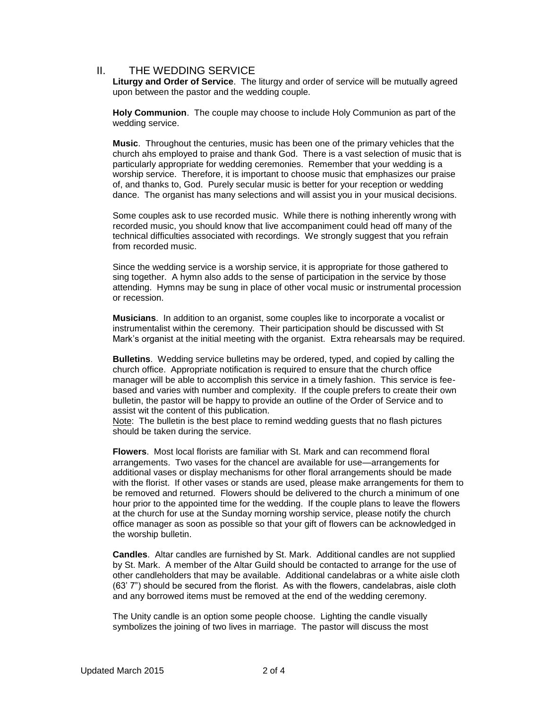## II. THE WEDDING SERVICE

**Liturgy and Order of Service**. The liturgy and order of service will be mutually agreed upon between the pastor and the wedding couple.

**Holy Communion**. The couple may choose to include Holy Communion as part of the wedding service.

**Music**. Throughout the centuries, music has been one of the primary vehicles that the church ahs employed to praise and thank God. There is a vast selection of music that is particularly appropriate for wedding ceremonies. Remember that your wedding is a worship service. Therefore, it is important to choose music that emphasizes our praise of, and thanks to, God. Purely secular music is better for your reception or wedding dance. The organist has many selections and will assist you in your musical decisions.

Some couples ask to use recorded music. While there is nothing inherently wrong with recorded music, you should know that live accompaniment could head off many of the technical difficulties associated with recordings. We strongly suggest that you refrain from recorded music.

Since the wedding service is a worship service, it is appropriate for those gathered to sing together. A hymn also adds to the sense of participation in the service by those attending. Hymns may be sung in place of other vocal music or instrumental procession or recession.

**Musicians**. In addition to an organist, some couples like to incorporate a vocalist or instrumentalist within the ceremony. Their participation should be discussed with St Mark's organist at the initial meeting with the organist. Extra rehearsals may be required.

**Bulletins**. Wedding service bulletins may be ordered, typed, and copied by calling the church office. Appropriate notification is required to ensure that the church office manager will be able to accomplish this service in a timely fashion. This service is feebased and varies with number and complexity. If the couple prefers to create their own bulletin, the pastor will be happy to provide an outline of the Order of Service and to assist wit the content of this publication.

Note: The bulletin is the best place to remind wedding guests that no flash pictures should be taken during the service.

**Flowers**. Most local florists are familiar with St. Mark and can recommend floral arrangements. Two vases for the chancel are available for use—arrangements for additional vases or display mechanisms for other floral arrangements should be made with the florist. If other vases or stands are used, please make arrangements for them to be removed and returned. Flowers should be delivered to the church a minimum of one hour prior to the appointed time for the wedding. If the couple plans to leave the flowers at the church for use at the Sunday morning worship service, please notify the church office manager as soon as possible so that your gift of flowers can be acknowledged in the worship bulletin.

**Candles**. Altar candles are furnished by St. Mark. Additional candles are not supplied by St. Mark. A member of the Altar Guild should be contacted to arrange for the use of other candleholders that may be available. Additional candelabras or a white aisle cloth (63' 7") should be secured from the florist. As with the flowers, candelabras, aisle cloth and any borrowed items must be removed at the end of the wedding ceremony.

The Unity candle is an option some people choose. Lighting the candle visually symbolizes the joining of two lives in marriage. The pastor will discuss the most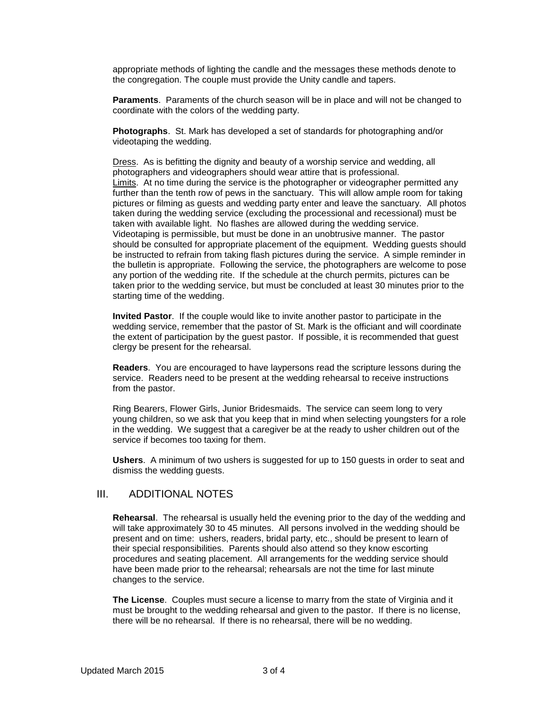appropriate methods of lighting the candle and the messages these methods denote to the congregation. The couple must provide the Unity candle and tapers.

**Paraments**. Paraments of the church season will be in place and will not be changed to coordinate with the colors of the wedding party.

**Photographs**. St. Mark has developed a set of standards for photographing and/or videotaping the wedding.

Dress. As is befitting the dignity and beauty of a worship service and wedding, all photographers and videographers should wear attire that is professional. Limits. At no time during the service is the photographer or videographer permitted any further than the tenth row of pews in the sanctuary. This will allow ample room for taking pictures or filming as guests and wedding party enter and leave the sanctuary. All photos taken during the wedding service (excluding the processional and recessional) must be taken with available light. No flashes are allowed during the wedding service. Videotaping is permissible, but must be done in an unobtrusive manner. The pastor should be consulted for appropriate placement of the equipment. Wedding guests should be instructed to refrain from taking flash pictures during the service. A simple reminder in the bulletin is appropriate. Following the service, the photographers are welcome to pose any portion of the wedding rite. If the schedule at the church permits, pictures can be taken prior to the wedding service, but must be concluded at least 30 minutes prior to the starting time of the wedding.

**Invited Pastor**. If the couple would like to invite another pastor to participate in the wedding service, remember that the pastor of St. Mark is the officiant and will coordinate the extent of participation by the guest pastor. If possible, it is recommended that guest clergy be present for the rehearsal.

**Readers**. You are encouraged to have laypersons read the scripture lessons during the service. Readers need to be present at the wedding rehearsal to receive instructions from the pastor.

Ring Bearers, Flower Girls, Junior Bridesmaids. The service can seem long to very young children, so we ask that you keep that in mind when selecting youngsters for a role in the wedding. We suggest that a caregiver be at the ready to usher children out of the service if becomes too taxing for them.

**Ushers**. A minimum of two ushers is suggested for up to 150 guests in order to seat and dismiss the wedding guests.

## III. ADDITIONAL NOTES

**Rehearsal**. The rehearsal is usually held the evening prior to the day of the wedding and will take approximately 30 to 45 minutes. All persons involved in the wedding should be present and on time: ushers, readers, bridal party, etc., should be present to learn of their special responsibilities. Parents should also attend so they know escorting procedures and seating placement. All arrangements for the wedding service should have been made prior to the rehearsal; rehearsals are not the time for last minute changes to the service.

**The License**. Couples must secure a license to marry from the state of Virginia and it must be brought to the wedding rehearsal and given to the pastor. If there is no license, there will be no rehearsal. If there is no rehearsal, there will be no wedding.